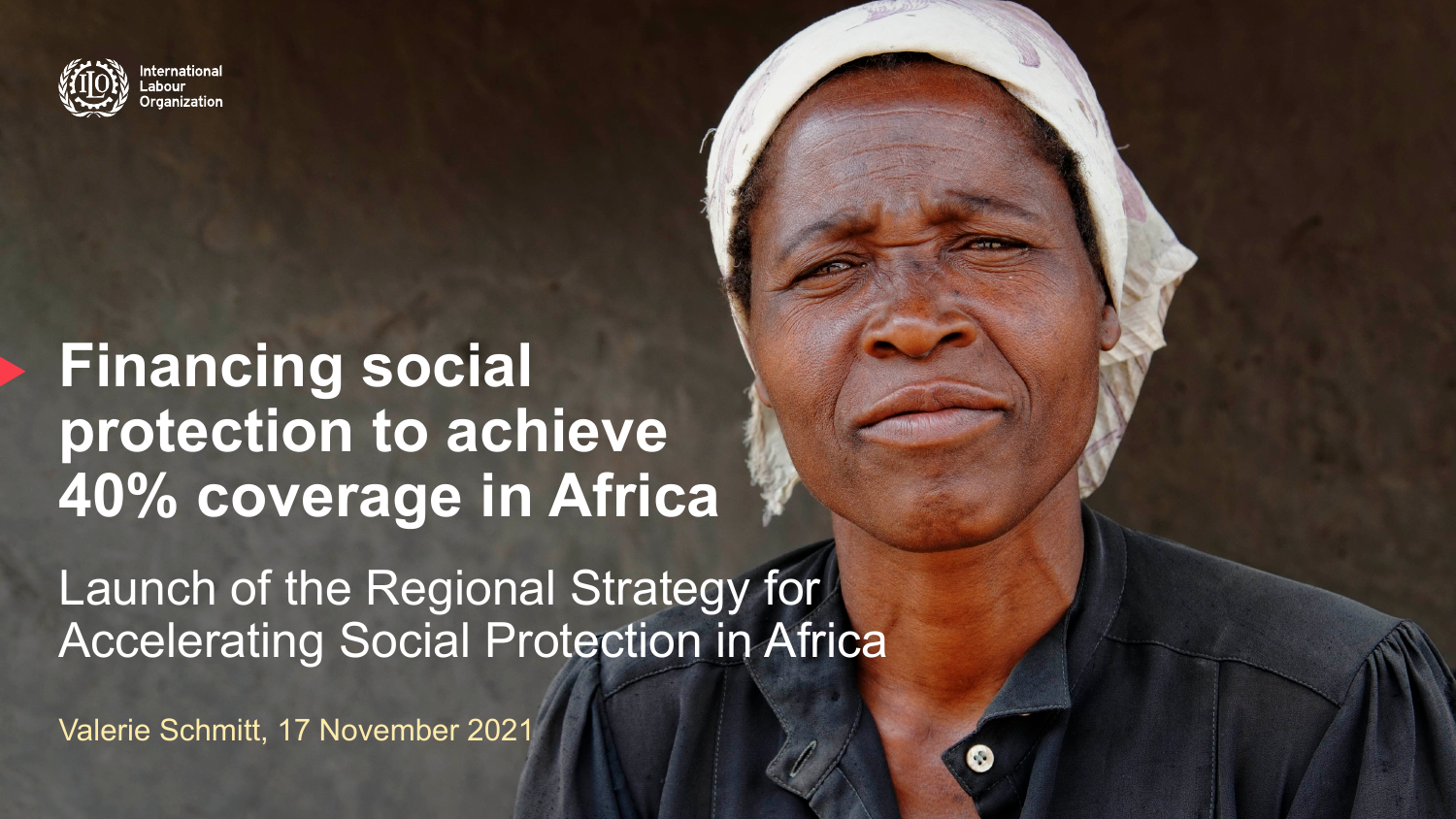

ernational: anization

### **Financing social protection to achieve 40% coverage in Africa**

Launch of the Regional Strategy for Accelerating Social Protection in Africa

Valerie Schmitt, 17 November 2021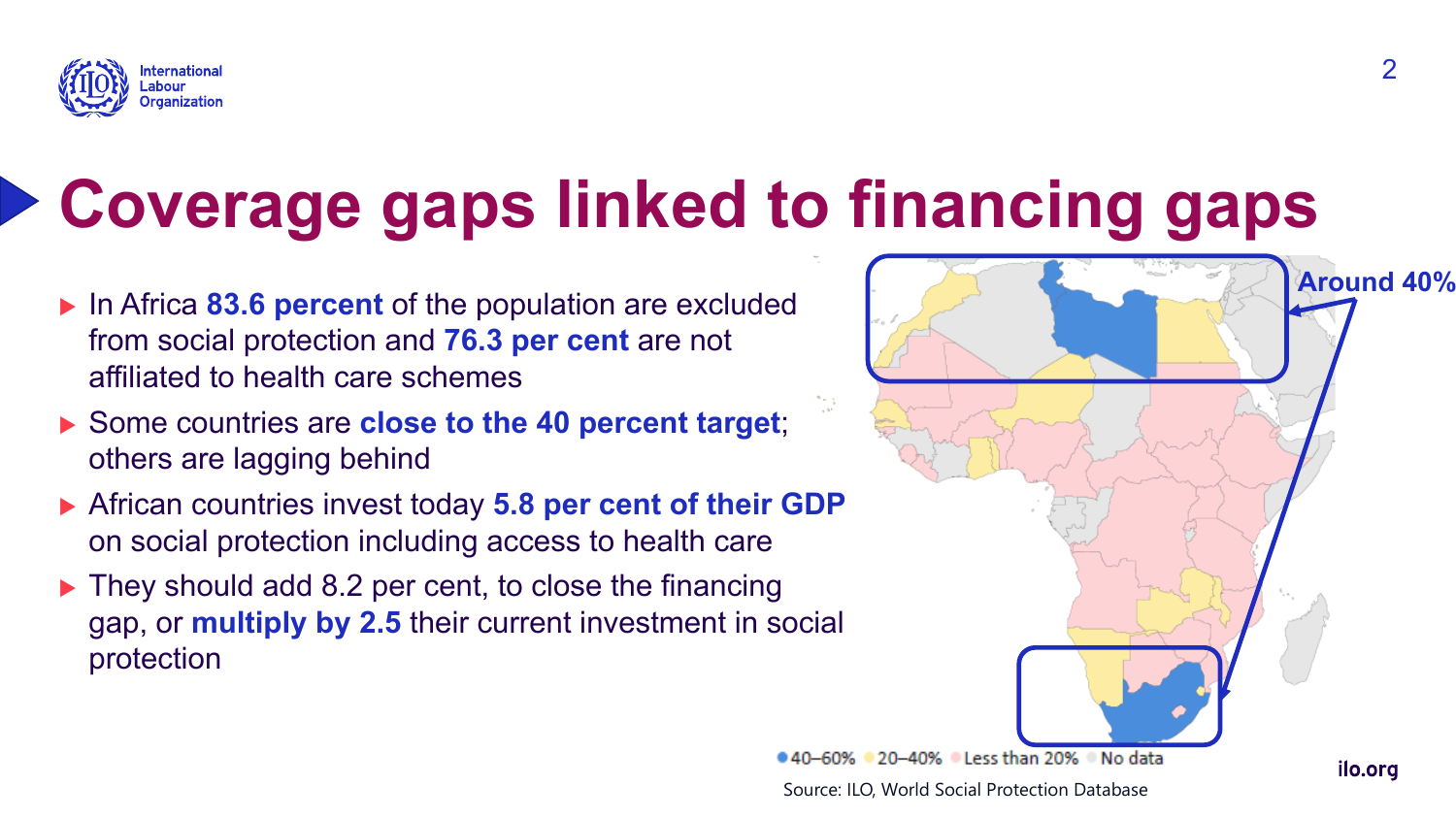

# **Coverage gaps linked to financing gaps**

- **In Africa 83.6 percent of the population are excluded** from social protection and **76.3 per cent** are not affiliated to health care schemes
- Some countries are **close to the 40 percent target**; others are lagging behind
- ▶ African countries invest today **5.8 per cent of their GDP** on social protection including access to health care
- $\blacktriangleright$  They should add 8.2 per cent, to close the financing gap, or **multiply by 2.5** their current investment in social protection

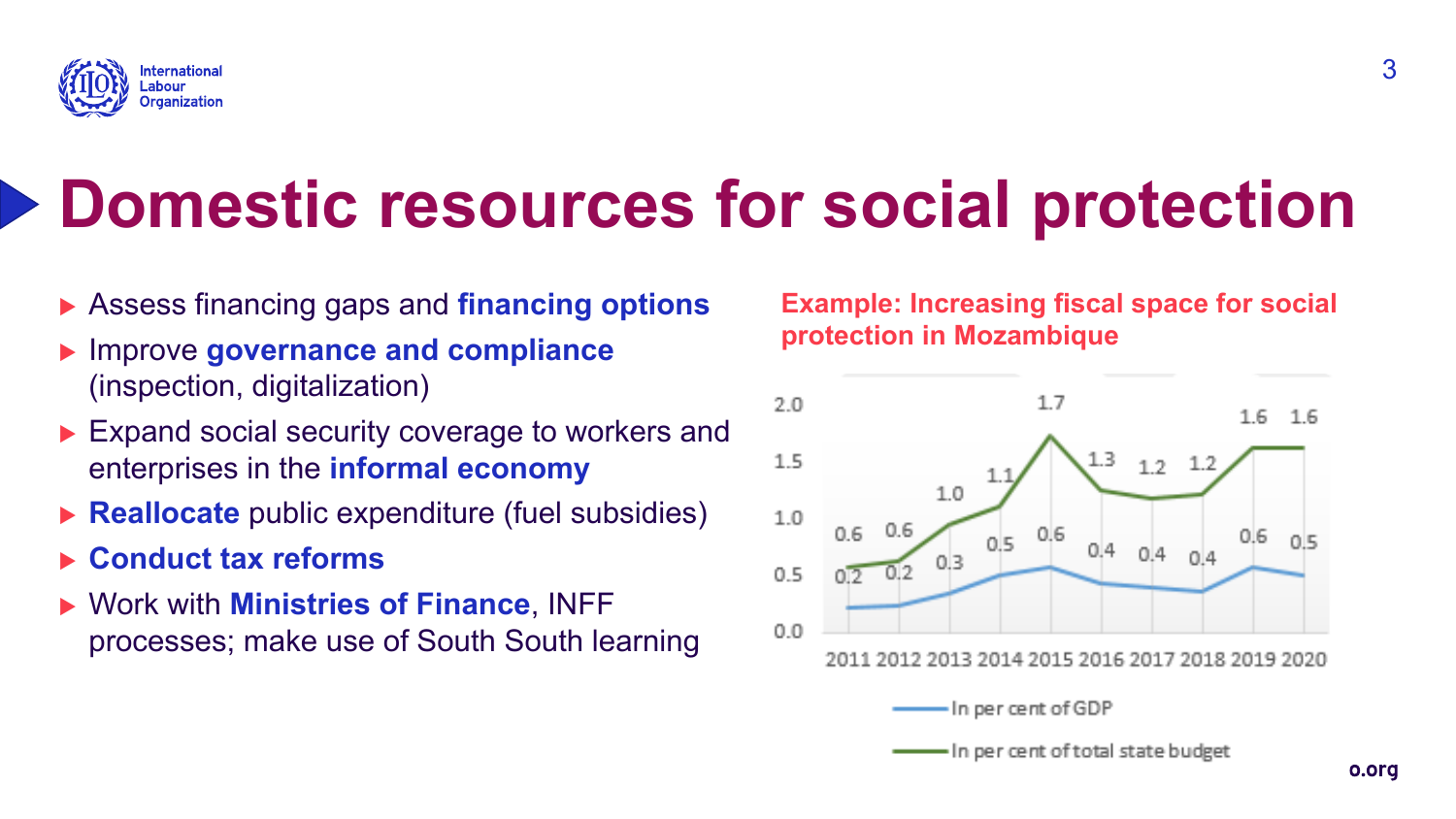

## **Domestic resources for social protection**

- **Example 3 Assess financing gaps and financing options**
- <sup>u</sup> Improve **governance and compliance**  (inspection, digitalization)
- $\blacktriangleright$  Expand social security coverage to workers and enterprises in the **informal economy**
- **Reallocate** public expenditure (fuel subsidies)
- ▶ Conduct tax reforms
- <sup>u</sup> Work with **Ministries of Finance**, INFF processes; make use of South South learning

#### **Example: Increasing fiscal space for social protection in Mozambique**